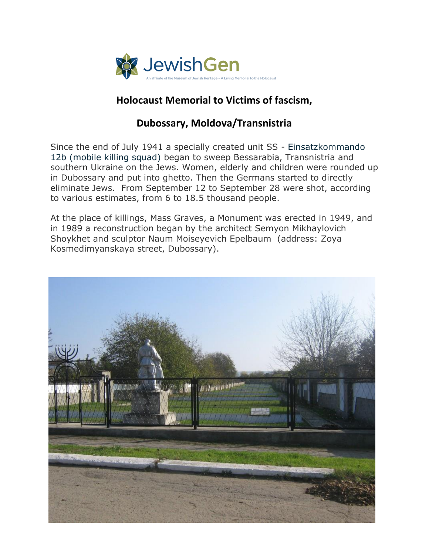

## **Holocaust Memorial to Victims of fascism,**

## **Dubossary, Moldova/Transnistria**

Since the end of July 1941 a specially created unit SS - Einsatzkommando 12b (mobile killing squad) began to sweep Bessarabia, Transnistria and southern Ukraine on the Jews. Women, elderly and children were rounded up in Dubossary and put into ghetto. Then the Germans started to directly eliminate Jews. From September 12 to September 28 were shot, according to various estimates, from 6 to 18.5 thousand people.

At the place of killings, Mass Graves, a Monument was erected in 1949, and in 1989 a reconstruction began by the architect Semyon Mikhaylovich Shoykhet and sculptor Naum Moiseyevich Epelbaum (address: Zoya Kosmedimyanskaya street, Dubossary).

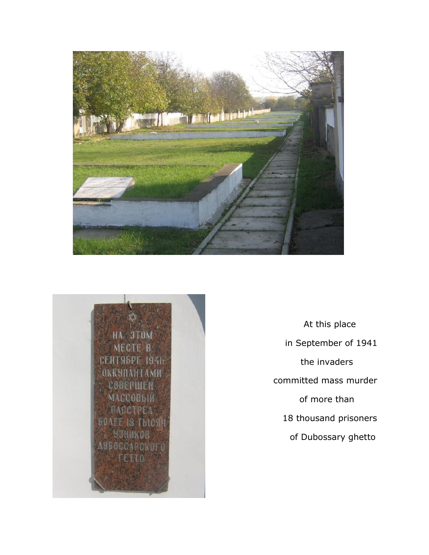



 At this place in September of 1941 the invaders committed mass murder of more than 18 thousand prisoners of Dubossary ghetto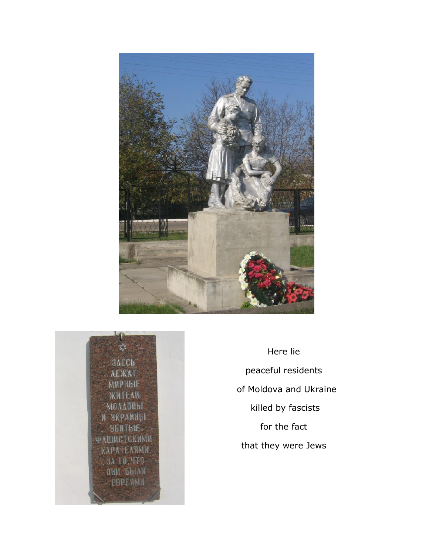



Here lie peaceful residents of Moldova and Ukraine killed by fascists for the fact that they were Jews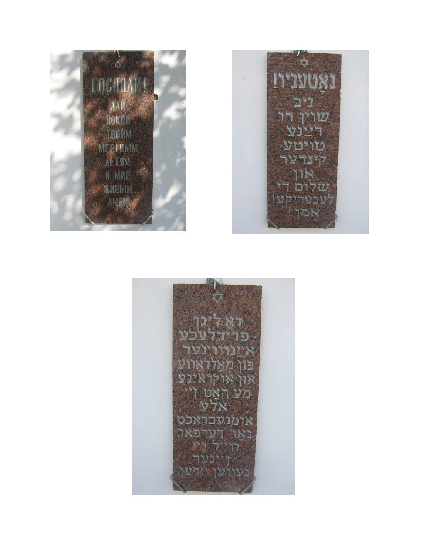